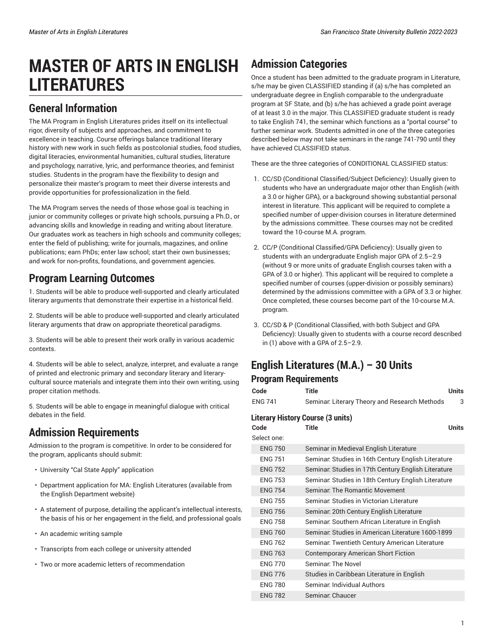# **MASTER OF ARTS IN ENGLISH LITERATURES**

### **General Information**

The MA Program in English Literatures prides itself on its intellectual rigor, diversity of subjects and approaches, and commitment to excellence in teaching. Course offerings balance traditional literary history with new work in such fields as postcolonial studies, food studies, digital literacies, environmental humanities, cultural studies, literature and psychology, narrative, lyric, and performance theories, and feminist studies. Students in the program have the flexibility to design and personalize their master's program to meet their diverse interests and provide opportunities for professionalization in the field.

The MA Program serves the needs of those whose goal is teaching in junior or community colleges or private high schools, pursuing a Ph.D., or advancing skills and knowledge in reading and writing about literature. Our graduates work as teachers in high schools and community colleges; enter the field of publishing; write for journals, magazines, and online publications; earn PhDs; enter law school; start their own businesses; and work for non-profits, foundations, and government agencies.

### **Program Learning Outcomes**

1. Students will be able to produce well-supported and clearly articulated literary arguments that demonstrate their expertise in a historical field.

2. Students will be able to produce well-supported and clearly articulated literary arguments that draw on appropriate theoretical paradigms.

3. Students will be able to present their work orally in various academic contexts.

4. Students will be able to select, analyze, interpret, and evaluate a range of printed and electronic primary and secondary literary and literarycultural source materials and integrate them into their own writing, using proper citation methods.

5. Students will be able to engage in meaningful dialogue with critical debates in the field.

### **Admission Requirements**

Admission to the program is competitive. In order to be considered for the program, applicants should submit:

- University "Cal State Apply" application
- Department application for MA: English Literatures (available from the English Department website)
- A statement of purpose, detailing the applicant's intellectual interests, the basis of his or her engagement in the field, and professional goals
- An academic writing sample
- Transcripts from each college or university attended
- Two or more academic letters of recommendation

## **Admission Categories**

Once a student has been admitted to the graduate program in Literature, s/he may be given CLASSIFIED standing if (a) s/he has completed an undergraduate degree in English comparable to the undergraduate program at SF State, and (b) s/he has achieved a grade point average of at least 3.0 in the major. This CLASSIFIED graduate student is ready to take English 741, the seminar which functions as a "portal course" to further seminar work. Students admitted in one of the three categories described below may not take seminars in the range 741-790 until they have achieved CLASSIFIED status.

These are the three categories of CONDITIONAL CLASSIFIED status:

- 1. CC/SD (Conditional Classified/Subject Deficiency): Usually given to students who have an undergraduate major other than English (with a 3.0 or higher GPA), or a background showing substantial personal interest in literature. This applicant will be required to complete a specified number of upper-division courses in literature determined by the admissions committee. These courses may not be credited toward the 10-course M.A. program.
- 2. CC/P (Conditional Classified/GPA Deficiency): Usually given to students with an undergraduate English major GPA of 2.5–2.9 (without 9 or more units of graduate English courses taken with a GPA of 3.0 or higher). This applicant will be required to complete a specified number of courses (upper-division or possibly seminars) determined by the admissions committee with a GPA of 3.3 or higher. Once completed, these courses become part of the 10-course M.A. program.
- 3. CC/SD & P (Conditional Classified, with both Subject and GPA Deficiency): Usually given to students with a course record described in (1) above with a GPA of 2.5–2.9.

# **English Literatures (M.A.) – 30 Units**

### **Program Requirements**

| Program Requirements                     |                                                     |              |  |  |
|------------------------------------------|-----------------------------------------------------|--------------|--|--|
| Code                                     | <b>Title</b>                                        | <b>Units</b> |  |  |
| <b>ENG 741</b>                           | Seminar: Literary Theory and Research Methods       | 3            |  |  |
| <b>Literary History Course (3 units)</b> |                                                     |              |  |  |
| Code                                     | Title                                               | <b>Units</b> |  |  |
| Select one:                              |                                                     |              |  |  |
| <b>ENG 750</b>                           | Seminar in Medieval English Literature              |              |  |  |
| <b>ENG 751</b>                           | Seminar: Studies in 16th Century English Literature |              |  |  |
| <b>ENG 752</b>                           | Seminar: Studies in 17th Century English Literature |              |  |  |
| <b>ENG 753</b>                           | Seminar: Studies in 18th Century English Literature |              |  |  |
| <b>ENG 754</b>                           | Seminar: The Romantic Movement                      |              |  |  |
| <b>FNG 755</b>                           | Seminar: Studies in Victorian Literature            |              |  |  |
| <b>ENG 756</b>                           | Seminar: 20th Century English Literature            |              |  |  |
| <b>ENG 758</b>                           | Seminar: Southern African Literature in English     |              |  |  |
| <b>ENG 760</b>                           | Seminar: Studies in American Literature 1600-1899   |              |  |  |
| <b>ENG 762</b>                           | Seminar: Twentieth Century American Literature      |              |  |  |
| <b>ENG 763</b>                           | <b>Contemporary American Short Fiction</b>          |              |  |  |
| <b>FNG 770</b>                           | Seminar: The Novel                                  |              |  |  |
| <b>ENG 776</b>                           | Studies in Caribbean Literature in English          |              |  |  |
| <b>ENG 780</b>                           | Seminar Individual Authors                          |              |  |  |
| <b>ENG 782</b>                           | Seminar: Chaucer                                    |              |  |  |
|                                          |                                                     |              |  |  |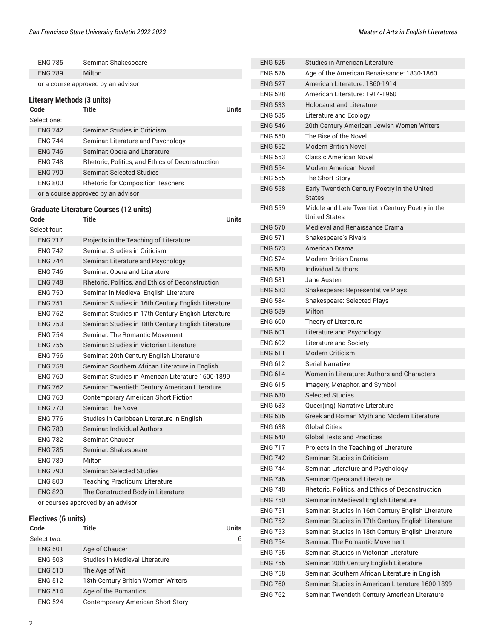|  | Master of Arts in English Literatures |
|--|---------------------------------------|
|  |                                       |

ENG 762 Seminar: Twentieth Century American Literature

| <b>ENG 785</b>                    | Seminar: Shakespeare                                   | <b>ENG 525</b>                 | <b>Studies in American Literature</b>                                   |
|-----------------------------------|--------------------------------------------------------|--------------------------------|-------------------------------------------------------------------------|
| <b>ENG 789</b>                    | Milton                                                 | <b>ENG 526</b>                 | Age of the American Renaissance: 1830-1860                              |
|                                   | or a course approved by an advisor                     | <b>ENG 527</b>                 | American Literature: 1860-1914                                          |
| <b>Literary Methods (3 units)</b> |                                                        | <b>ENG 528</b>                 | American Literature: 1914-1960                                          |
| Code                              | Title                                                  | <b>ENG 533</b><br><b>Units</b> | <b>Holocaust and Literature</b>                                         |
| Select one:                       |                                                        | <b>ENG 535</b>                 | Literature and Ecology                                                  |
| <b>ENG 742</b>                    | Seminar, Studies in Criticism                          | <b>ENG 546</b>                 | 20th Century American Jewish Women Writers                              |
| <b>ENG 744</b>                    | Seminar. Literature and Psychology                     | <b>ENG 550</b>                 | The Rise of the Novel                                                   |
| <b>ENG 746</b>                    | Seminar: Opera and Literature                          | <b>ENG 552</b>                 | <b>Modern British Novel</b>                                             |
| <b>ENG 748</b>                    | Rhetoric, Politics, and Ethics of Deconstruction       | <b>ENG 553</b>                 | <b>Classic American Novel</b>                                           |
| <b>ENG 790</b>                    | <b>Seminar: Selected Studies</b>                       | <b>ENG 554</b>                 | Modern American Novel                                                   |
| <b>ENG 800</b>                    | <b>Rhetoric for Composition Teachers</b>               | <b>ENG 555</b>                 | The Short Story                                                         |
|                                   | or a course approved by an advisor                     | <b>ENG 558</b>                 | Early Twentieth Century Poetry in the United<br><b>States</b>           |
| Code                              | <b>Graduate Literature Courses (12 units)</b><br>Title | <b>ENG 559</b><br><b>Units</b> | Middle and Late Twentieth Century Poetry in the<br><b>United States</b> |
| Select four:                      |                                                        | <b>ENG 570</b>                 | Medieval and Renaissance Drama                                          |
| <b>ENG 717</b>                    | Projects in the Teaching of Literature                 | <b>ENG 571</b>                 | Shakespeare's Rivals                                                    |
| <b>ENG 742</b>                    | Seminar: Studies in Criticism                          | <b>ENG 573</b>                 | American Drama                                                          |
| <b>ENG 744</b>                    | Seminar. Literature and Psychology                     | <b>ENG 574</b>                 | <b>Modern British Drama</b>                                             |
| <b>ENG 746</b>                    | Seminar. Opera and Literature                          | <b>ENG 580</b>                 | <b>Individual Authors</b>                                               |
| <b>ENG 748</b>                    | Rhetoric, Politics, and Ethics of Deconstruction       | <b>ENG 581</b>                 | Jane Austen                                                             |
| <b>ENG 750</b>                    | Seminar in Medieval English Literature                 | <b>ENG 583</b>                 | Shakespeare: Representative Plays                                       |
| <b>ENG 751</b>                    | Seminar: Studies in 16th Century English Literature    | <b>ENG 584</b>                 | Shakespeare: Selected Plays                                             |
| <b>ENG 752</b>                    | Seminar: Studies in 17th Century English Literature    | <b>ENG 589</b>                 | Milton                                                                  |
| <b>ENG 753</b>                    | Seminar: Studies in 18th Century English Literature    | <b>ENG 600</b>                 | Theory of Literature                                                    |
| <b>ENG 754</b>                    | Seminar. The Romantic Movement                         | <b>ENG 601</b>                 | Literature and Psychology                                               |
| <b>ENG 755</b>                    | Seminar: Studies in Victorian Literature               | <b>ENG 602</b>                 | Literature and Society                                                  |
| <b>ENG 756</b>                    | Seminar. 20th Century English Literature               | <b>ENG 611</b>                 | <b>Modern Criticism</b>                                                 |
| <b>ENG 758</b>                    | Seminar. Southern African Literature in English        | <b>ENG 612</b>                 | <b>Serial Narrative</b>                                                 |
| <b>ENG 760</b>                    | Seminar: Studies in American Literature 1600-1899      | <b>ENG 614</b>                 | Women in Literature: Authors and Characters                             |
| <b>ENG 762</b>                    | Seminar. Twentieth Century American Literature         | <b>ENG 615</b>                 | Imagery, Metaphor, and Symbol                                           |
| <b>ENG 763</b>                    | <b>Contemporary American Short Fiction</b>             | <b>ENG 630</b>                 | <b>Selected Studies</b>                                                 |
| <b>ENG 770</b>                    | Seminar: The Novel                                     | <b>ENG 633</b>                 | Queer(ing) Narrative Literature                                         |
| <b>ENG 776</b>                    | Studies in Caribbean Literature in English             | <b>ENG 636</b>                 | Greek and Roman Myth and Modern Literature                              |
| <b>ENG 780</b>                    | Seminar, Individual Authors                            | <b>ENG 638</b>                 | <b>Global Cities</b>                                                    |
| <b>ENG 782</b>                    | Seminar: Chaucer                                       | <b>ENG 640</b>                 | <b>Global Texts and Practices</b>                                       |
| <b>ENG 785</b>                    | Seminar: Shakespeare                                   | <b>ENG 717</b>                 | Projects in the Teaching of Literature                                  |
| <b>ENG 789</b>                    | Milton                                                 | <b>ENG 742</b>                 | Seminar: Studies in Criticism                                           |
| <b>ENG 790</b>                    | <b>Seminar: Selected Studies</b>                       | <b>ENG 744</b>                 | Seminar: Literature and Psychology                                      |
| <b>ENG 803</b>                    | Teaching Practicum: Literature                         | <b>ENG 746</b>                 | Seminar: Opera and Literature                                           |
| <b>ENG 820</b>                    | The Constructed Body in Literature                     | <b>ENG 748</b>                 | Rhetoric, Politics, and Ethics of Deconstruction                        |
|                                   | or courses approved by an advisor                      | <b>ENG 750</b>                 | Seminar in Medieval English Literature                                  |
|                                   |                                                        | <b>ENG 751</b>                 | Seminar: Studies in 16th Century English Literature                     |
| Electives (6 units)               |                                                        | <b>ENG 752</b>                 | Seminar: Studies in 17th Century English Literature                     |
| Code                              | Title                                                  | Units<br><b>ENG 753</b>        | Seminar: Studies in 18th Century English Literature                     |
| Select two:                       |                                                        | 6<br><b>ENG 754</b>            | Seminar: The Romantic Movement                                          |
| <b>ENG 501</b>                    | Age of Chaucer                                         | <b>ENG 755</b>                 | Seminar: Studies in Victorian Literature                                |
| <b>ENG 503</b>                    | Studies in Medieval Literature                         | <b>ENG 756</b>                 | Seminar: 20th Century English Literature                                |
| <b>ENG 510</b>                    | The Age of Wit                                         | <b>ENG 758</b>                 | Seminar: Southern African Literature in English                         |
| <b>ENG 512</b>                    | 18th-Century British Women Writers                     | <b>ENG 760</b>                 | Seminar: Studies in American Literature 1600-1899                       |
| <b>ENG 514</b>                    | Age of the Romantics                                   | FMO 762                        | Cominer Twentieth Contumy American Literature                           |

| ×<br>٠ |  |
|--------|--|
|        |  |
|        |  |

ENG 524 Contemporary American Short Story